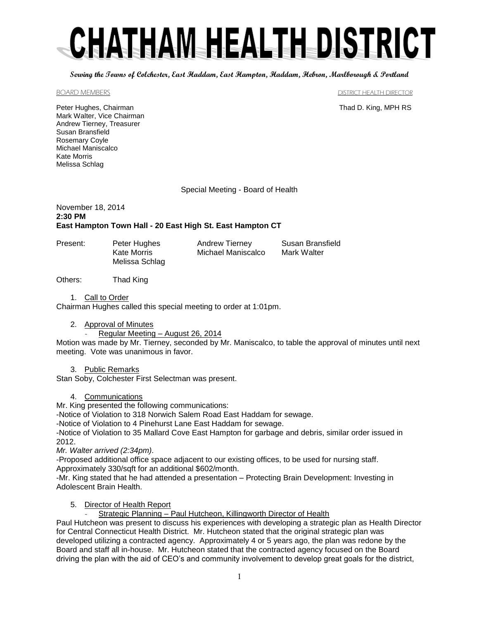# CHATHAM HEALTH DISTRICT

**Serving the Towns of Colchester, East Haddam, East Hampton, Haddam, Hebron, Marlborough & Portland**

BOARD MEMBERS **EXECUTE IN THE SET OF STATE IN THE SET OF STATE IN THE SET OF STATE IN THE SET OF STATE IN THE STATE IN THE STATE IN THE STATE IN THE STATE IN THE STATE IN THE STATE IN THE STATE IN THE STATE IN THE STATE IN** 

Peter Hughes, Chairman Thad D. King, MPH RS Mark Walter, Vice Chairman Andrew Tierney, Treasurer Susan Bransfield Rosemary Coyle Michael Maniscalco Kate Morris Melissa Schlag

Special Meeting - Board of Health

#### November 18, 2014 **2:30 PM East Hampton Town Hall - 20 East High St. East Hampton CT**

| Present: | Peter Hughes   | Andrew Tierney     | Susan Bransfield |
|----------|----------------|--------------------|------------------|
|          | Kate Morris    | Michael Maniscalco | Mark Walter      |
|          | Melissa Schlag |                    |                  |

Others: Thad King

1. Call to Order

Chairman Hughes called this special meeting to order at 1:01pm.

2. Approval of Minutes

Regular Meeting – August 26, 2014

Motion was made by Mr. Tierney, seconded by Mr. Maniscalco, to table the approval of minutes until next meeting. Vote was unanimous in favor.

# 3. Public Remarks

Stan Soby, Colchester First Selectman was present.

#### 4. Communications

Mr. King presented the following communications:

-Notice of Violation to 318 Norwich Salem Road East Haddam for sewage.

-Notice of Violation to 4 Pinehurst Lane East Haddam for sewage.

-Notice of Violation to 35 Mallard Cove East Hampton for garbage and debris, similar order issued in 2012.

*Mr. Walter arrived (2:34pm).*

-Proposed additional office space adjacent to our existing offices, to be used for nursing staff.

Approximately 330/sqft for an additional \$602/month.

-Mr. King stated that he had attended a presentation – Protecting Brain Development: Investing in Adolescent Brain Health.

5. Director of Health Report

Strategic Planning - Paul Hutcheon, Killingworth Director of Health

Paul Hutcheon was present to discuss his experiences with developing a strategic plan as Health Director for Central Connecticut Health District. Mr. Hutcheon stated that the original strategic plan was developed utilizing a contracted agency. Approximately 4 or 5 years ago, the plan was redone by the Board and staff all in-house. Mr. Hutcheon stated that the contracted agency focused on the Board driving the plan with the aid of CEO's and community involvement to develop great goals for the district,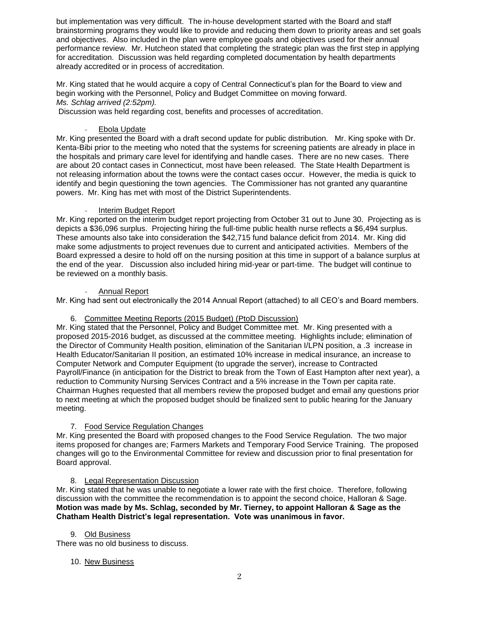but implementation was very difficult. The in-house development started with the Board and staff brainstorming programs they would like to provide and reducing them down to priority areas and set goals and objectives. Also included in the plan were employee goals and objectives used for their annual performance review. Mr. Hutcheon stated that completing the strategic plan was the first step in applying for accreditation. Discussion was held regarding completed documentation by health departments already accredited or in process of accreditation.

Mr. King stated that he would acquire a copy of Central Connecticut's plan for the Board to view and begin working with the Personnel, Policy and Budget Committee on moving forward. *Ms. Schlag arrived (2:52pm).*

Discussion was held regarding cost, benefits and processes of accreditation.

## Ebola Update

Mr. King presented the Board with a draft second update for public distribution. Mr. King spoke with Dr. Kenta-Bibi prior to the meeting who noted that the systems for screening patients are already in place in the hospitals and primary care level for identifying and handle cases. There are no new cases. There are about 20 contact cases in Connecticut, most have been released. The State Health Department is not releasing information about the towns were the contact cases occur. However, the media is quick to identify and begin questioning the town agencies. The Commissioner has not granted any quarantine powers. Mr. King has met with most of the District Superintendents.

#### Interim Budget Report

Mr. King reported on the interim budget report projecting from October 31 out to June 30. Projecting as is depicts a \$36,096 surplus. Projecting hiring the full-time public health nurse reflects a \$6,494 surplus. These amounts also take into consideration the \$42,715 fund balance deficit from 2014. Mr. King did make some adjustments to project revenues due to current and anticipated activities. Members of the Board expressed a desire to hold off on the nursing position at this time in support of a balance surplus at the end of the year. Discussion also included hiring mid-year or part-time. The budget will continue to be reviewed on a monthly basis.

#### - Annual Report

Mr. King had sent out electronically the 2014 Annual Report (attached) to all CEO's and Board members.

## 6. Committee Meeting Reports (2015 Budget) (PtoD Discussion)

Mr. King stated that the Personnel, Policy and Budget Committee met. Mr. King presented with a proposed 2015-2016 budget, as discussed at the committee meeting. Highlights include; elimination of the Director of Community Health position, elimination of the Sanitarian I/LPN position, a .3 increase in Health Educator/Sanitarian II position, an estimated 10% increase in medical insurance, an increase to Computer Network and Computer Equipment (to upgrade the server), increase to Contracted Payroll/Finance (in anticipation for the District to break from the Town of East Hampton after next year), a reduction to Community Nursing Services Contract and a 5% increase in the Town per capita rate. Chairman Hughes requested that all members review the proposed budget and email any questions prior to next meeting at which the proposed budget should be finalized sent to public hearing for the January meeting.

# 7. Food Service Regulation Changes

Mr. King presented the Board with proposed changes to the Food Service Regulation. The two major items proposed for changes are; Farmers Markets and Temporary Food Service Training. The proposed changes will go to the Environmental Committee for review and discussion prior to final presentation for Board approval.

# 8. Legal Representation Discussion

Mr. King stated that he was unable to negotiate a lower rate with the first choice. Therefore, following discussion with the committee the recommendation is to appoint the second choice, Halloran & Sage. **Motion was made by Ms. Schlag, seconded by Mr. Tierney, to appoint Halloran & Sage as the Chatham Health District's legal representation. Vote was unanimous in favor.** 

#### 9. Old Business

There was no old business to discuss.

#### 10. New Business